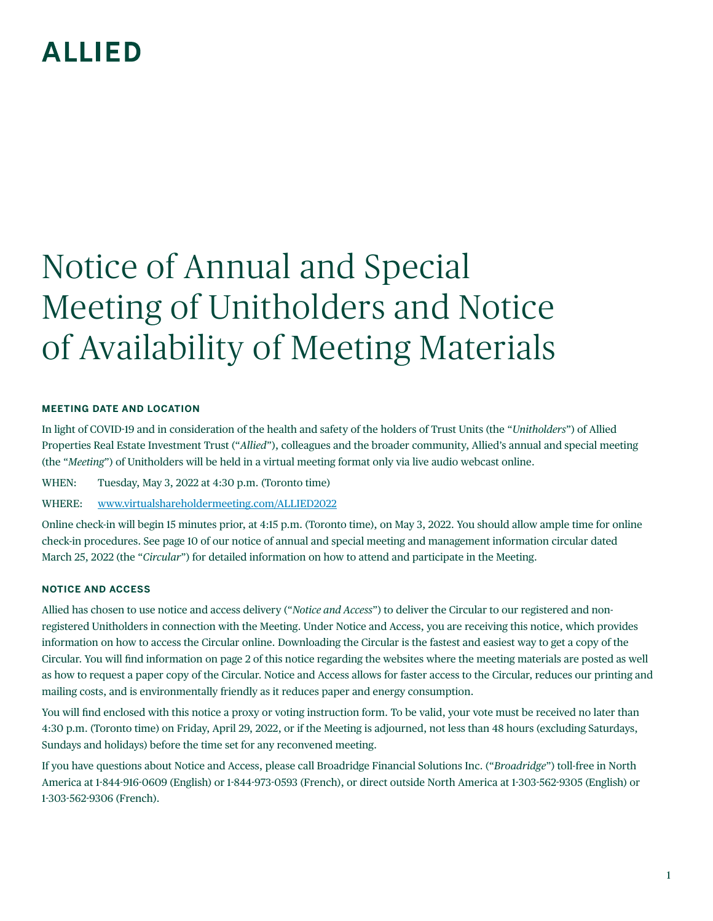## **ALLIED**

# Notice of Annual and Special Meeting of Unitholders and Notice of Availability of Meeting Materials

#### **MEETING DATE AND LOCATION**

In light of COVID-19 and in consideration of the health and safety of the holders of Trust Units (the "*Unitholders*") of Allied Properties Real Estate Investment Trust ("*Allied*"), colleagues and the broader community, Allied's annual and special meeting (the "*Meeting*") of Unitholders will be held in a virtual meeting format only via live audio webcast online.

WHEN: Tuesday, May 3, 2022 at 4:30 p.m. (Toronto time)

WHERE: [www.virtualshareholdermeeting.com/ALLIED2022](https://central.virtualshareholdermeeting.com/vsm/web?pvskey=ALLIED2022)

Online check-in will begin 15 minutes prior, at 4:15 p.m. (Toronto time), on May 3, 2022. You should allow ample time for online check-in procedures. See page 10 of our notice of annual and special meeting and management information circular dated March 25, 2022 (the "*Circular*") for detailed information on how to attend and participate in the Meeting.

#### **NOTICE AND ACCESS**

Allied has chosen to use notice and access delivery ("*Notice and Access*") to deliver the Circular to our registered and nonregistered Unitholders in connection with the Meeting. Under Notice and Access, you are receiving this notice, which provides information on how to access the Circular online. Downloading the Circular is the fastest and easiest way to get a copy of the Circular. You will find information on page 2 of this notice regarding the websites where the meeting materials are posted as well as how to request a paper copy of the Circular. Notice and Access allows for faster access to the Circular, reduces our printing and mailing costs, and is environmentally friendly as it reduces paper and energy consumption.

You will find enclosed with this notice a proxy or voting instruction form. To be valid, your vote must be received no later than 4:30 p.m. (Toronto time) on Friday, April 29, 2022, or if the Meeting is adjourned, not less than 48 hours (excluding Saturdays, Sundays and holidays) before the time set for any reconvened meeting.

If you have questions about Notice and Access, please call Broadridge Financial Solutions Inc. ("*Broadridge*") toll-free in North America at 1-844-916-0609 (English) or 1-844-973-0593 (French), or direct outside North America at 1-303-562-9305 (English) or 1-303-562-9306 (French).